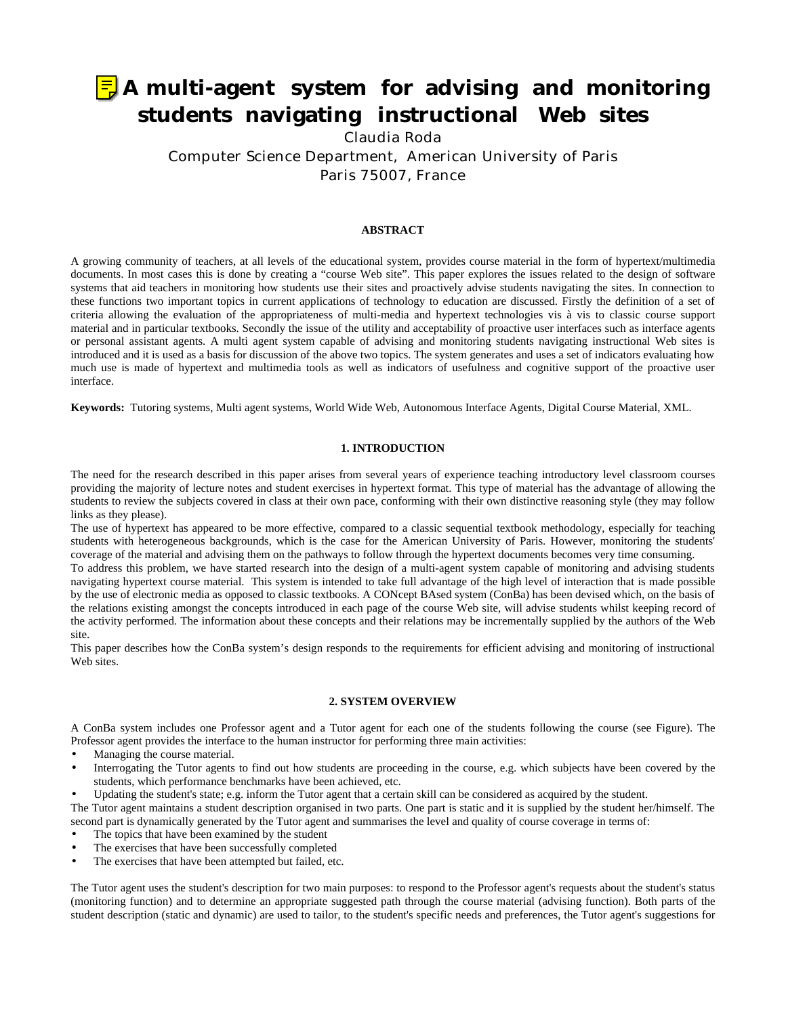# **A multi-agent system for advising and monitoring students navigating instructional Web sites**

Claudia Roda

Computer Science Department, American University of Paris Paris 75007, France

## **ABSTRACT**

A growing community of teachers, at all levels of the educational system, provides course material in the form of hypertext/multimedia documents. In most cases this is done by creating a "course Web site". This paper explores the issues related to the design of software systems that aid teachers in monitoring how students use their sites and proactively advise students navigating the sites. In connection to these functions two important topics in current applications of technology to education are discussed. Firstly the definition of a set of criteria allowing the evaluation of the appropriateness of multi-media and hypertext technologies vis à vis to classic course support material and in particular textbooks. Secondly the issue of the utility and acceptability of proactive user interfaces such as interface agents or personal assistant agents. A multi agent system capable of advising and monitoring students navigating instructional Web sites is introduced and it is used as a basis for discussion of the above two topics. The system generates and uses a set of indicators evaluating how much use is made of hypertext and multimedia tools as well as indicators of usefulness and cognitive support of the proactive user interface.

**Keywords:** Tutoring systems, Multi agent systems, World Wide Web, Autonomous Interface Agents, Digital Course Material, XML.

## **1. INTRODUCTION**

The need for the research described in this paper arises from several years of experience teaching introductory level classroom courses providing the majority of lecture notes and student exercises in hypertext format. This type of material has the advantage of allowing the students to review the subjects covered in class at their own pace, conforming with their own distinctive reasoning style (they may follow links as they please).

The use of hypertext has appeared to be more effective, compared to a classic sequential textbook methodology, especially for teaching students with heterogeneous backgrounds, which is the case for the American University of Paris. However, monitoring the students' coverage of the material and advising them on the pathways to follow through the hypertext documents becomes very time consuming.

To address this problem, we have started research into the design of a multi-agent system capable of monitoring and advising students navigating hypertext course material. This system is intended to take full advantage of the high level of interaction that is made possible by the use of electronic media as opposed to classic textbooks. A CONcept BAsed system (ConBa) has been devised which, on the basis of the relations existing amongst the concepts introduced in each page of the course Web site, will advise students whilst keeping record of the activity performed. The information about these concepts and their relations may be incrementally supplied by the authors of the Web site.

This paper describes how the ConBa system's design responds to the requirements for efficient advising and monitoring of instructional Web sites.

## **2. SYSTEM OVERVIEW**

A ConBa system includes one Professor agent and a Tutor agent for each one of the students following the course (see Figure). The Professor agent provides the interface to the human instructor for performing three main activities:

- Managing the course material.
- Interrogating the Tutor agents to find out how students are proceeding in the course, e.g. which subjects have been covered by the students, which performance benchmarks have been achieved, etc.
- Updating the student's state; e.g. inform the Tutor agent that a certain skill can be considered as acquired by the student.

The Tutor agent maintains a student description organised in two parts. One part is static and it is supplied by the student her/himself. The second part is dynamically generated by the Tutor agent and summarises the level and quality of course coverage in terms of:

- The topics that have been examined by the student
- The exercises that have been successfully completed
- The exercises that have been attempted but failed, etc.

The Tutor agent uses the student's description for two main purposes: to respond to the Professor agent's requests about the student's status (monitoring function) and to determine an appropriate suggested path through the course material (advising function). Both parts of the student description (static and dynamic) are used to tailor, to the student's specific needs and preferences, the Tutor agent's suggestions for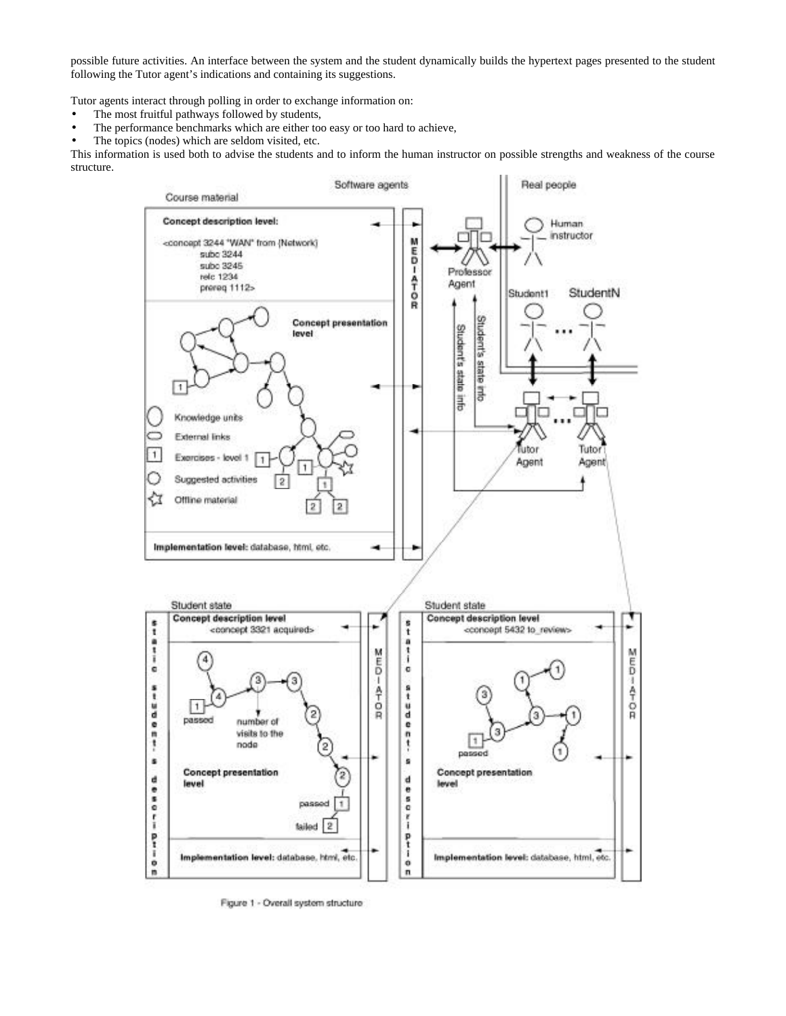possible future activities. An interface between the system and the student dynamically builds the hypertext pages presented to the student following the Tutor agent's indications and containing its suggestions.

Tutor agents interact through polling in order to exchange information on:

- The most fruitful pathways followed by students,
- The performance benchmarks which are either too easy or too hard to achieve,
- The topics (nodes) which are seldom visited, etc.

This information is used both to advise the students and to inform the human instructor on possible strengths and weakness of the course structure.



Figure 1 - Overall system structure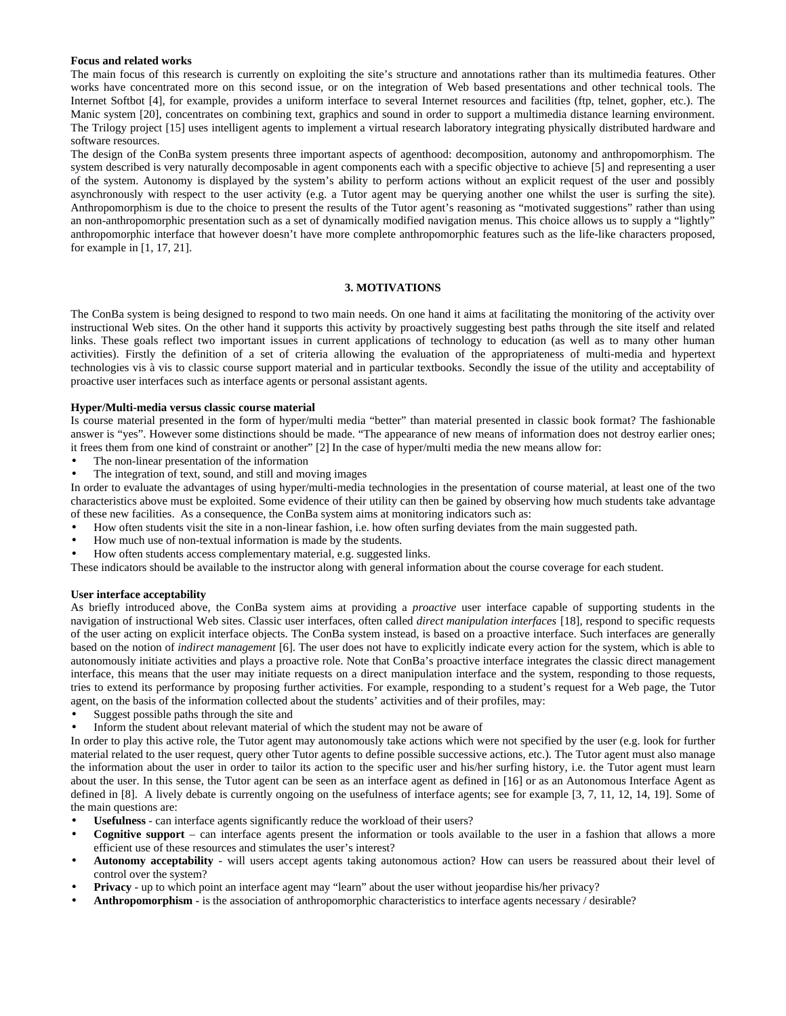## **Focus and related works**

The main focus of this research is currently on exploiting the site's structure and annotations rather than its multimedia features. Other works have concentrated more on this second issue, or on the integration of Web based presentations and other technical tools. The Internet Softbot [4], for example, provides a uniform interface to several Internet resources and facilities (ftp, telnet, gopher, etc.). The Manic system [20], concentrates on combining text, graphics and sound in order to support a multimedia distance learning environment. The Trilogy project [15] uses intelligent agents to implement a virtual research laboratory integrating physically distributed hardware and software resources.

The design of the ConBa system presents three important aspects of agenthood: decomposition, autonomy and anthropomorphism. The system described is very naturally decomposable in agent components each with a specific objective to achieve [5] and representing a user of the system. Autonomy is displayed by the system's ability to perform actions without an explicit request of the user and possibly asynchronously with respect to the user activity (e.g. a Tutor agent may be querying another one whilst the user is surfing the site). Anthropomorphism is due to the choice to present the results of the Tutor agent's reasoning as "motivated suggestions" rather than using an non-anthropomorphic presentation such as a set of dynamically modified navigation menus. This choice allows us to supply a "lightly" anthropomorphic interface that however doesn't have more complete anthropomorphic features such as the life-like characters proposed, for example in [1, 17, 21].

# **3. MOTIVATIONS**

The ConBa system is being designed to respond to two main needs. On one hand it aims at facilitating the monitoring of the activity over instructional Web sites. On the other hand it supports this activity by proactively suggesting best paths through the site itself and related links. These goals reflect two important issues in current applications of technology to education (as well as to many other human activities). Firstly the definition of a set of criteria allowing the evaluation of the appropriateness of multi-media and hypertext technologies vis à vis to classic course support material and in particular textbooks. Secondly the issue of the utility and acceptability of proactive user interfaces such as interface agents or personal assistant agents.

# **Hyper/Multi-media versus classic course material**

Is course material presented in the form of hyper/multi media "better" than material presented in classic book format? The fashionable answer is "yes". However some distinctions should be made. "The appearance of new means of information does not destroy earlier ones; it frees them from one kind of constraint or another" [2] In the case of hyper/multi media the new means allow for:

- The non-linear presentation of the information
- The integration of text, sound, and still and moving images

In order to evaluate the advantages of using hyper/multi-media technologies in the presentation of course material, at least one of the two characteristics above must be exploited. Some evidence of their utility can then be gained by observing how much students take advantage of these new facilities. As a consequence, the ConBa system aims at monitoring indicators such as:

- How often students visit the site in a non-linear fashion, i.e. how often surfing deviates from the main suggested path.
- How much use of non-textual information is made by the students.
- How often students access complementary material, e.g. suggested links.

These indicators should be available to the instructor along with general information about the course coverage for each student.

# **User interface acceptability**

As briefly introduced above, the ConBa system aims at providing a *proactive* user interface capable of supporting students in the navigation of instructional Web sites. Classic user interfaces, often called *direct manipulation interfaces* [18], respond to specific requests of the user acting on explicit interface objects. The ConBa system instead, is based on a proactive interface. Such interfaces are generally based on the notion of *indirect management* [6]. The user does not have to explicitly indicate every action for the system, which is able to autonomously initiate activities and plays a proactive role. Note that ConBa's proactive interface integrates the classic direct management interface, this means that the user may initiate requests on a direct manipulation interface and the system, responding to those requests, tries to extend its performance by proposing further activities. For example, responding to a student's request for a Web page, the Tutor agent, on the basis of the information collected about the students' activities and of their profiles, may:

- Suggest possible paths through the site and
- Inform the student about relevant material of which the student may not be aware of

In order to play this active role, the Tutor agent may autonomously take actions which were not specified by the user (e.g. look for further material related to the user request, query other Tutor agents to define possible successive actions, etc.). The Tutor agent must also manage the information about the user in order to tailor its action to the specific user and his/her surfing history, i.e. the Tutor agent must learn about the user. In this sense, the Tutor agent can be seen as an interface agent as defined in [16] or as an Autonomous Interface Agent as defined in [8]. A lively debate is currently ongoing on the usefulness of interface agents; see for example [3, 7, 11, 12, 14, 19]. Some of the main questions are:

- Usefulness can interface agents significantly reduce the workload of their users?
- **Cognitive support** can interface agents present the information or tools available to the user in a fashion that allows a more efficient use of these resources and stimulates the user's interest?
- **Autonomy acceptability** will users accept agents taking autonomous action? How can users be reassured about their level of control over the system?
- **Privacy** up to which point an interface agent may "learn" about the user without jeopardise his/her privacy?
- **Anthropomorphism** is the association of anthropomorphic characteristics to interface agents necessary / desirable?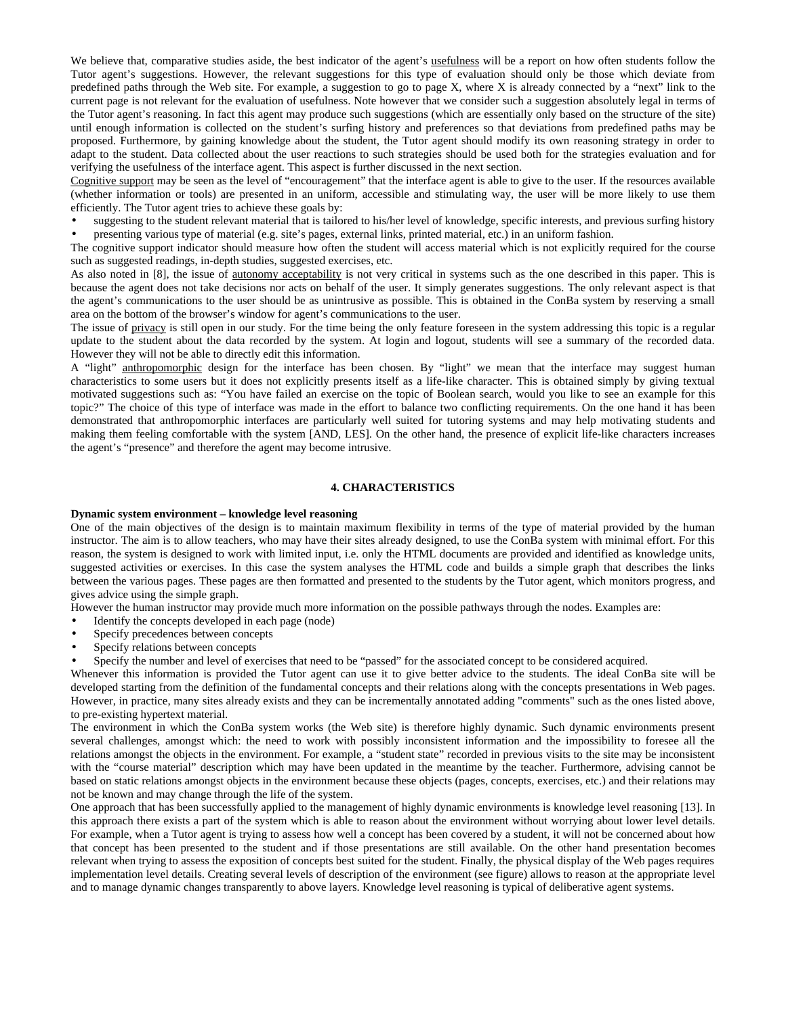We believe that, comparative studies aside, the best indicator of the agent's usefulness will be a report on how often students follow the Tutor agent's suggestions. However, the relevant suggestions for this type of evaluation should only be those which deviate from predefined paths through the Web site. For example, a suggestion to go to page X, where X is already connected by a "next" link to the current page is not relevant for the evaluation of usefulness. Note however that we consider such a suggestion absolutely legal in terms of the Tutor agent's reasoning. In fact this agent may produce such suggestions (which are essentially only based on the structure of the site) until enough information is collected on the student's surfing history and preferences so that deviations from predefined paths may be proposed. Furthermore, by gaining knowledge about the student, the Tutor agent should modify its own reasoning strategy in order to adapt to the student. Data collected about the user reactions to such strategies should be used both for the strategies evaluation and for verifying the usefulness of the interface agent. This aspect is further discussed in the next section.

Cognitive support may be seen as the level of "encouragement" that the interface agent is able to give to the user. If the resources available (whether information or tools) are presented in an uniform, accessible and stimulating way, the user will be more likely to use them efficiently. The Tutor agent tries to achieve these goals by:

• suggesting to the student relevant material that is tailored to his/her level of knowledge, specific interests, and previous surfing history • presenting various type of material (e.g. site's pages, external links, printed material, etc.) in an uniform fashion.

The cognitive support indicator should measure how often the student will access material which is not explicitly required for the course such as suggested readings, in-depth studies, suggested exercises, etc.

As also noted in [8], the issue of autonomy acceptability is not very critical in systems such as the one described in this paper. This is because the agent does not take decisions nor acts on behalf of the user. It simply generates suggestions. The only relevant aspect is that the agent's communications to the user should be as unintrusive as possible. This is obtained in the ConBa system by reserving a small area on the bottom of the browser's window for agent's communications to the user.

The issue of privacy is still open in our study. For the time being the only feature foreseen in the system addressing this topic is a regular update to the student about the data recorded by the system. At login and logout, students will see a summary of the recorded data. However they will not be able to directly edit this information.

A "light" anthropomorphic design for the interface has been chosen. By "light" we mean that the interface may suggest human characteristics to some users but it does not explicitly presents itself as a life-like character. This is obtained simply by giving textual motivated suggestions such as: "You have failed an exercise on the topic of Boolean search, would you like to see an example for this topic?" The choice of this type of interface was made in the effort to balance two conflicting requirements. On the one hand it has been demonstrated that anthropomorphic interfaces are particularly well suited for tutoring systems and may help motivating students and making them feeling comfortable with the system [AND, LES]. On the other hand, the presence of explicit life-like characters increases the agent's "presence" and therefore the agent may become intrusive.

## **4. CHARACTERISTICS**

### **Dynamic system environment – knowledge level reasoning**

One of the main objectives of the design is to maintain maximum flexibility in terms of the type of material provided by the human instructor. The aim is to allow teachers, who may have their sites already designed, to use the ConBa system with minimal effort. For this reason, the system is designed to work with limited input, i.e. only the HTML documents are provided and identified as knowledge units, suggested activities or exercises. In this case the system analyses the HTML code and builds a simple graph that describes the links between the various pages. These pages are then formatted and presented to the students by the Tutor agent, which monitors progress, and gives advice using the simple graph.

However the human instructor may provide much more information on the possible pathways through the nodes. Examples are:

- Identify the concepts developed in each page (node)
- Specify precedences between concepts
- Specify relations between concepts
- Specify the number and level of exercises that need to be "passed" for the associated concept to be considered acquired.

Whenever this information is provided the Tutor agent can use it to give better advice to the students. The ideal ConBa site will be developed starting from the definition of the fundamental concepts and their relations along with the concepts presentations in Web pages. However, in practice, many sites already exists and they can be incrementally annotated adding "comments" such as the ones listed above, to pre-existing hypertext material.

The environment in which the ConBa system works (the Web site) is therefore highly dynamic. Such dynamic environments present several challenges, amongst which: the need to work with possibly inconsistent information and the impossibility to foresee all the relations amongst the objects in the environment. For example, a "student state" recorded in previous visits to the site may be inconsistent with the "course material" description which may have been updated in the meantime by the teacher. Furthermore, advising cannot be based on static relations amongst objects in the environment because these objects (pages, concepts, exercises, etc.) and their relations may not be known and may change through the life of the system.

One approach that has been successfully applied to the management of highly dynamic environments is knowledge level reasoning [13]. In this approach there exists a part of the system which is able to reason about the environment without worrying about lower level details. For example, when a Tutor agent is trying to assess how well a concept has been covered by a student, it will not be concerned about how that concept has been presented to the student and if those presentations are still available. On the other hand presentation becomes relevant when trying to assess the exposition of concepts best suited for the student. Finally, the physical display of the Web pages requires implementation level details. Creating several levels of description of the environment (see figure) allows to reason at the appropriate level and to manage dynamic changes transparently to above layers. Knowledge level reasoning is typical of deliberative agent systems.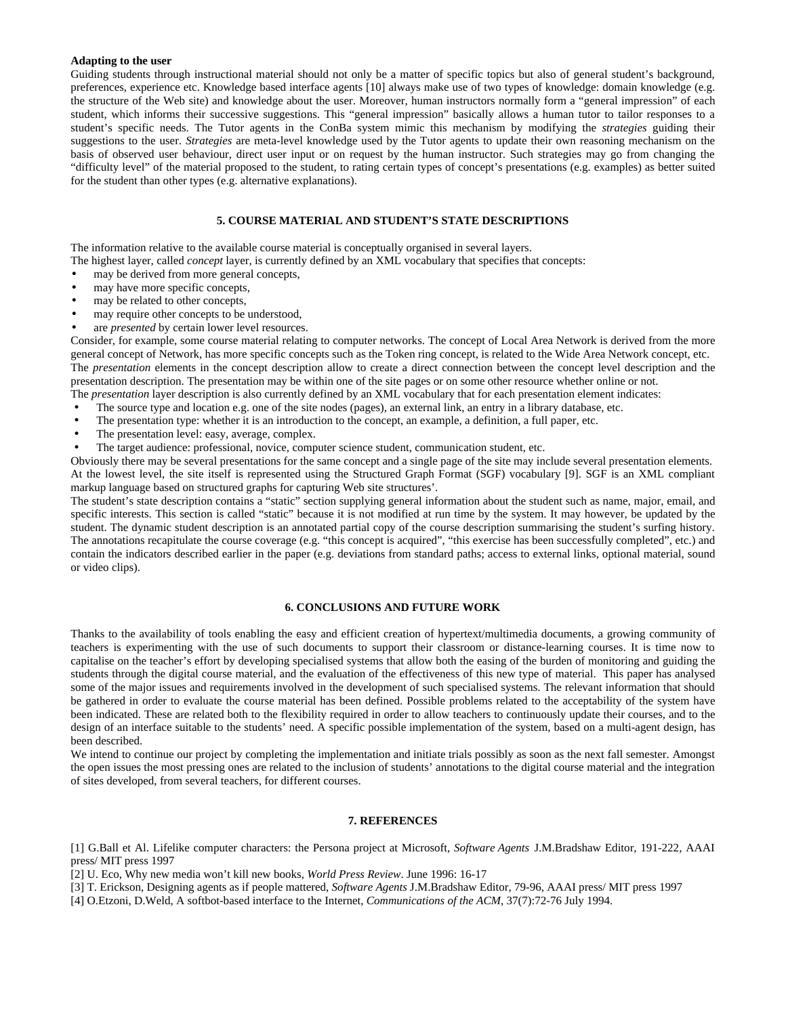#### **Adapting to the user**

Guiding students through instructional material should not only be a matter of specific topics but also of general student's background, preferences, experience etc. Knowledge based interface agents [10] always make use of two types of knowledge: domain knowledge (e.g. the structure of the Web site) and knowledge about the user. Moreover, human instructors normally form a "general impression" of each student, which informs their successive suggestions. This "general impression" basically allows a human tutor to tailor responses to a student's specific needs. The Tutor agents in the ConBa system mimic this mechanism by modifying the *strategies* guiding their suggestions to the user. *Strategies* are meta-level knowledge used by the Tutor agents to update their own reasoning mechanism on the basis of observed user behaviour, direct user input or on request by the human instructor. Such strategies may go from changing the "difficulty level" of the material proposed to the student, to rating certain types of concept's presentations (e.g. examples) as better suited for the student than other types (e.g. alternative explanations).

# **5. COURSE MATERIAL AND STUDENT'S STATE DESCRIPTIONS**

The information relative to the available course material is conceptually organised in several layers.

The highest layer, called *concept* layer, is currently defined by an XML vocabulary that specifies that concepts:

- may be derived from more general concepts,
- may have more specific concepts,
- may be related to other concepts,
- may require other concepts to be understood,
- are *presented* by certain lower level resources.

Consider, for example, some course material relating to computer networks. The concept of Local Area Network is derived from the more general concept of Network, has more specific concepts such as the Token ring concept, is related to the Wide Area Network concept, etc. The *presentation* elements in the concept description allow to create a direct connection between the concept level description and the presentation description. The presentation may be within one of the site pages or on some other resource whether online or not. The *presentation* layer description is also currently defined by an XML vocabulary that for each presentation element indicates:

- 
- The source type and location e.g. one of the site nodes (pages), an external link, an entry in a library database, etc. • The presentation type: whether it is an introduction to the concept, an example, a definition, a full paper, etc.
- 
- The presentation level: easy, average, complex.
- The target audience: professional, novice, computer science student, communication student, etc.

Obviously there may be several presentations for the same concept and a single page of the site may include several presentation elements. At the lowest level, the site itself is represented using the Structured Graph Format (SGF) vocabulary [9]. SGF is an XML compliant markup language based on structured graphs for capturing Web site structures'.

The student's state description contains a "static" section supplying general information about the student such as name, major, email, and specific interests. This section is called "static" because it is not modified at run time by the system. It may however, be updated by the student. The dynamic student description is an annotated partial copy of the course description summarising the student's surfing history. The annotations recapitulate the course coverage (e.g. "this concept is acquired", "this exercise has been successfully completed", etc.) and contain the indicators described earlier in the paper (e.g. deviations from standard paths; access to external links, optional material, sound or video clips).

## **6. CONCLUSIONS AND FUTURE WORK**

Thanks to the availability of tools enabling the easy and efficient creation of hypertext/multimedia documents, a growing community of teachers is experimenting with the use of such documents to support their classroom or distance-learning courses. It is time now to capitalise on the teacher's effort by developing specialised systems that allow both the easing of the burden of monitoring and guiding the students through the digital course material, and the evaluation of the effectiveness of this new type of material. This paper has analysed some of the major issues and requirements involved in the development of such specialised systems. The relevant information that should be gathered in order to evaluate the course material has been defined. Possible problems related to the acceptability of the system have been indicated. These are related both to the flexibility required in order to allow teachers to continuously update their courses, and to the design of an interface suitable to the students' need. A specific possible implementation of the system, based on a multi-agent design, has been described.

We intend to continue our project by completing the implementation and initiate trials possibly as soon as the next fall semester. Amongst the open issues the most pressing ones are related to the inclusion of students' annotations to the digital course material and the integration of sites developed, from several teachers, for different courses.

## **7. REFERENCES**

[1] G.Ball et Al. Lifelike computer characters: the Persona project at Microsoft, *Software Agents* J.M.Bradshaw Editor, 191-222, AAAI press/ MIT press 1997

[2] U. Eco, Why new media won't kill new books, *World Press Review*. June 1996: 16-17

[3] T. Erickson, Designing agents as if people mattered, *Software Agents* J.M.Bradshaw Editor, 79-96, AAAI press/ MIT press 1997

[4] O.Etzoni, D.Weld, A softbot-based interface to the Internet, *Communications of the ACM*, 37(7):72-76 July 1994.